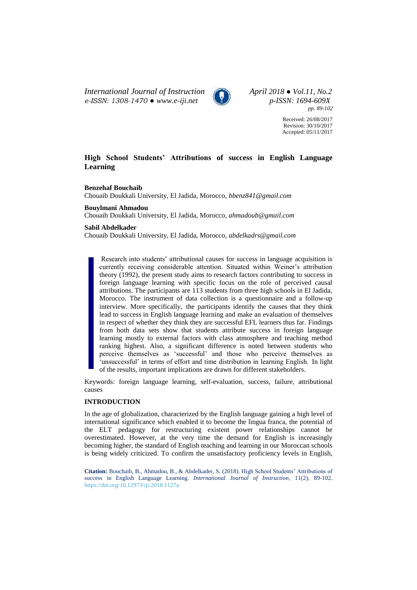*International Journal of Instruction April 2018 ● Vol.11, No.2 e-ISSN: 1308-1470 ● [www.e-iji.net](http://www.e-iji.net/) p-ISSN: 1694-609X*



*pp. 89-102*

Received: 26/08/2017 Revision: 30/10/2017 Accepted: 05/11/2017

# **High School Students' Attributions of success in English Language Learning**

#### **Benzehaf Bouchaib**

Chouaib Doukkali University, El Jadida, Morocco, *[bbenz841@gmail.com](mailto:bbenz841@gmail.com)*

#### **Bouylmani Ahmadou**

Chouaib Doukkali University, El Jadida, Morocco, *[ahmadoub@gmail.com](mailto:ahmadoub@gmail.com)*

## **Sabil Abdelkader**

Chouaib Doukkali University, El Jadida, Morocco, *[abdelkadrs@gmail.com](mailto:abdelkadrs@gmail.com)*

Research into students' attributional causes for success in language acquisition is currently receiving considerable attention. Situated within Weiner's attribution theory (1992), the present study aims to research factors contributing to success in foreign language learning with specific focus on the role of perceived causal attributions. The participants are 113 students from three high schools in El Jadida, Morocco. The instrument of data collection is a questionnaire and a follow-up interview. More specifically, the participants identify the causes that they think lead to success in English language learning and make an evaluation of themselves in respect of whether they think they are successful EFL learners thus far. Findings from both data sets show that students attribute success in foreign language learning mostly to external factors with class atmosphere and teaching method ranking highest. Also, a significant difference is noted between students who perceive themselves as 'successful' and those who perceive themselves as 'unsuccessful' in terms of effort and time distribution in learning English. In light of the results, important implications are drawn for different stakeholders.

Keywords: foreign language learning, self-evaluation, success, failure, attributional causes

# **INTRODUCTION**

In the age of globalization, characterized by the English language gaining a high level of international significance which enabled it to become the lingua franca, the potential of the ELT pedagogy for restructuring existent power relationships cannot be overestimated. However, at the very time the demand for English is increasingly becoming higher, the standard of English teaching and learning in our Moroccan schools is being widely criticized. To confirm the unsatisfactory proficiency levels in English,

**Citation:** Bouchaib, B., Ahmadou, B., & Abdelkader, S. (2018). High School Students' Attributions of success in English Language Learning. *International Journal of Instruction*, 11(2), 89-102. <https://doi.org/10.12973/iji.2018.1127a>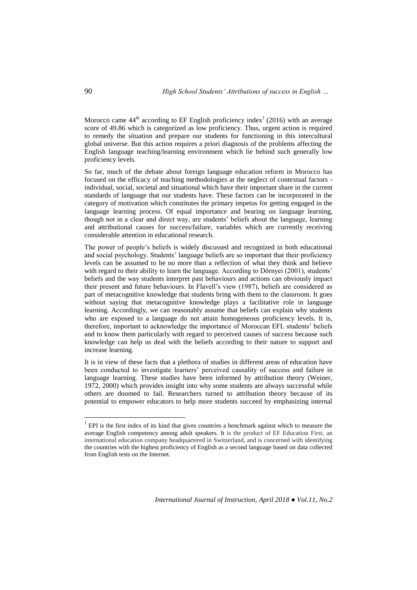Morocco came  $44<sup>th</sup>$  according to EF English proficiency index<sup>1</sup> (2016) with an average score of 49.86 which is categorized as low proficiency. Thus, urgent action is required to remedy the situation and prepare our students for functioning in this intercultural global universe. But this action requires a priori diagnosis of the problems affecting the English language teaching/learning environment which lie behind such generally low proficiency levels.

So far, much of the debate about foreign language education reform in Morocco has focused on the efficacy of teaching methodologies at the neglect of contextual factors individual, social, societal and situational which have their important share in the current standards of language that our students have. These factors can be incorporated in the category of motivation which constitutes the primary impetus for getting engaged in the language learning process. Of equal importance and bearing on language learning, though not in a clear and direct way, are students' beliefs about the language, learning and attributional causes for success/failure, variables which are currently receiving considerable attention in educational research.

The power of people's beliefs is widely discussed and recognized in both educational and social psychology. Students' language beliefs are so important that their proficiency levels can be assumed to be no more than a reflection of what they think and believe with regard to their ability to learn the language. According to Dörnyei (2001), students' beliefs and the way students interpret past behaviours and actions can obviously impact their present and future behaviours. In Flavell's view (1987), beliefs are considered as part of metacognitive knowledge that students bring with them to the classroom. It goes without saying that metacognitive knowledge plays a facilitative role in language learning. Accordingly, we can reasonably assume that beliefs can explain why students who are exposed to a language do not attain homogeneous proficiency levels. It is, therefore, important to acknowledge the importance of Moroccan EFL students' beliefs and to know them particularly with regard to perceived causes of success because such knowledge can help us deal with the beliefs according to their nature to support and increase learning.

It is in view of these facts that a plethora of studies in different areas of education have been conducted to investigate learners' perceived causality of success and failure in language learning. These studies have been informed by attribution theory (Weiner, 1972, 2000) which provides insight into why some students are always successful while others are doomed to fail. Researchers turned to attribution theory because of its potential to empower educators to help more students succeed by emphasizing internal

<sup>&</sup>lt;sup>1</sup> EPI is the first index of its kind that gives countries a benchmark against which to measure the average English competency among adult speakers. It is the product of EF Education First, an international education company headquartered in Switzerland, and is concerned with identifying the countries with the highest proficiency of English as a second language based on data collected from English tests on the Internet.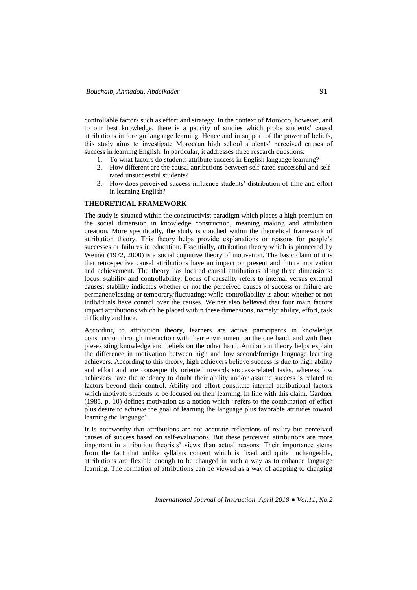controllable factors such as effort and strategy. In the context of Morocco, however, and to our best knowledge, there is a paucity of studies which probe students' causal attributions in foreign language learning. Hence and in support of the power of beliefs, this study aims to investigate Moroccan high school students' perceived causes of success in learning English. In particular, it addresses three research questions:

- 1. To what factors do students attribute success in English language learning?
- 2. How different are the causal attributions between self-rated successful and selfrated unsuccessful students?
- 3. How does perceived success influence students' distribution of time and effort in learning English?

# **THEORETICAL FRAMEWORK**

The study is situated within the constructivist paradigm which places a high premium on the social dimension in knowledge construction, meaning making and attribution creation. More specifically, the study is couched within the theoretical framework of attribution theory. This theory helps provide explanations or reasons for people's successes or failures in education. Essentially, attribution theory which is pioneered by Weiner (1972, 2000) is a social cognitive theory of motivation. The basic claim of it is that retrospective causal attributions have an impact on present and future motivation and achievement. The theory has located causal attributions along three dimensions: locus, stability and controllability. Locus of causality refers to internal versus external causes; stability indicates whether or not the perceived causes of success or failure are permanent/lasting or temporary/fluctuating; while controllability is about whether or not individuals have control over the causes. Weiner also believed that four main factors impact attributions which he placed within these dimensions, namely: ability, effort, task difficulty and luck.

According to attribution theory, learners are active participants in knowledge construction through interaction with their environment on the one hand, and with their pre-existing knowledge and beliefs on the other hand. Attribution theory helps explain the difference in motivation between high and low second/foreign language learning achievers. According to this theory, high achievers believe success is due to high ability and effort and are consequently oriented towards success-related tasks, whereas low achievers have the tendency to doubt their ability and/or assume success is related to factors beyond their control. Ability and effort constitute internal attributional factors which motivate students to be focused on their learning. In line with this claim, Gardner (1985, p. 10) defines motivation as a notion which "refers to the combination of effort plus desire to achieve the goal of learning the language plus favorable attitudes toward learning the language".

It is noteworthy that attributions are not accurate reflections of reality but perceived causes of success based on self-evaluations. But these perceived attributions are more important in attribution theorists' views than actual reasons. Their importance stems from the fact that unlike syllabus content which is fixed and quite unchangeable, attributions are flexible enough to be changed in such a way as to enhance language learning. The formation of attributions can be viewed as a way of adapting to changing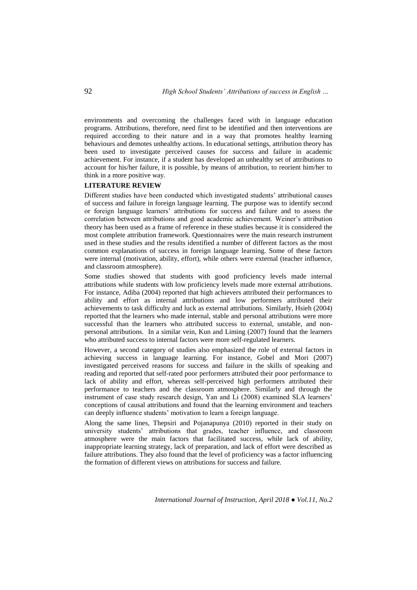environments and overcoming the challenges faced with in language education programs. Attributions, therefore, need first to be identified and then interventions are required according to their nature and in a way that promotes healthy learning behaviours and demotes unhealthy actions. In educational settings, attribution theory has been used to investigate perceived causes for success and failure in academic achievement. For instance, if a student has developed an unhealthy set of attributions to account for his/her failure, it is possible, by means of attribution, to reorient him/her to think in a more positive way.

# **LITERATURE REVIEW**

Different studies have been conducted which investigated students' attributional causes of success and failure in foreign language learning. The purpose was to identify second or foreign language learners' attributions for success and failure and to assess the correlation between attributions and good academic achievement. Weiner's attribution theory has been used as a frame of reference in these studies because it is considered the most complete attribution framework. Questionnaires were the main research instrument used in these studies and the results identified a number of different factors as the most common explanations of success in foreign language learning. Some of these factors were internal (motivation, ability, effort), while others were external (teacher influence, and classroom atmosphere).

Some studies showed that students with good proficiency levels made internal attributions while students with low proficiency levels made more external attributions. For instance, Adiba (2004) reported that high achievers attributed their performances to ability and effort as internal attributions and low performers attributed their achievements to task difficulty and luck as external attributions. Similarly, Hsieh (2004) reported that the learners who made internal, stable and personal attributions were more successful than the learners who attributed success to external, unstable, and nonpersonal attributions. In a similar vein, Kun and Liming (2007) found that the learners who attributed success to internal factors were more self-regulated learners.

However, a second category of studies also emphasized the role of external factors in achieving success in language learning. For instance, Gobel and Mori (2007) investigated perceived reasons for success and failure in the skills of speaking and reading and reported that self-rated poor performers attributed their poor performance to lack of ability and effort, whereas self-perceived high performers attributed their performance to teachers and the classroom atmosphere. Similarly and through the instrument of case study research design, Yan and Li (2008) examined SLA learners' conceptions of causal attributions and found that the learning environment and teachers can deeply influence students' motivation to learn a foreign language.

Along the same lines, Thepsiri and Pojanapunya (2010) reported in their study on university students' attributions that grades, teacher influence, and classroom atmosphere were the main factors that facilitated success, while lack of ability, inappropriate learning strategy, lack of preparation, and lack of effort were described as failure attributions. They also found that the level of proficiency was a factor influencing the formation of different views on attributions for success and failure.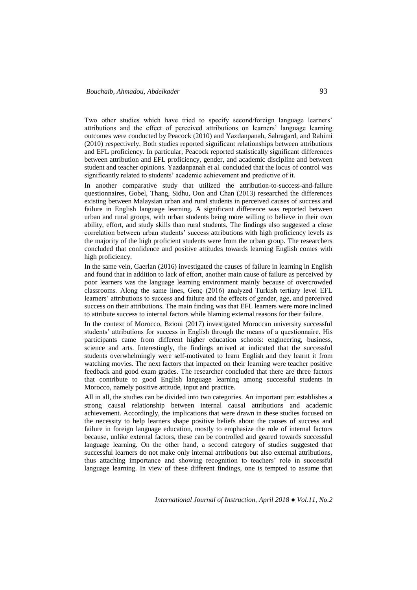Two other studies which have tried to specify second/foreign language learners' attributions and the effect of perceived attributions on learners' language learning outcomes were conducted by Peacock (2010) and Yazdanpanah, Sahragard, and Rahimi (2010) respectively. Both studies reported significant relationships between attributions and EFL proficiency. In particular, Peacock reported statistically significant differences between attribution and EFL proficiency, gender, and academic discipline and between student and teacher opinions. Yazdanpanah et al. concluded that the locus of control was significantly related to students' academic achievement and predictive of it.

In another comparative study that utilized the attribution-to-success-and-failure questionnaires, Gobel, Thang, Sidhu, Oon and Chan (2013) researched the differences existing between Malaysian urban and rural students in perceived causes of success and failure in English language learning. A significant difference was reported between urban and rural groups, with urban students being more willing to believe in their own ability, effort, and study skills than rural students. The findings also suggested a close correlation between urban students' success attributions with high proficiency levels as the majority of the high proficient students were from the urban group. The researchers concluded that confidence and positive attitudes towards learning English comes with high proficiency.

In the same vein, Gaerlan (2016) investigated the causes of failure in learning in English and found that in addition to lack of effort, another main cause of failure as perceived by poor learners was the language learning environment mainly because of overcrowded classrooms. Along the same lines, Genç (2016) analyzed Turkish tertiary level EFL learners' attributions to success and failure and the effects of gender, age, and perceived success on their attributions. The main finding was that EFL learners were more inclined to attribute success to internal factors while blaming external reasons for their failure.

In the context of Morocco, Bzioui (2017) investigated Moroccan university successful students' attributions for success in English through the means of a questionnaire. His participants came from different higher education schools: engineering, business, science and arts. Interestingly, the findings arrived at indicated that the successful students overwhelmingly were self-motivated to learn English and they learnt it from watching movies. The next factors that impacted on their learning were teacher positive feedback and good exam grades. The researcher concluded that there are three factors that contribute to good English language learning among successful students in Morocco, namely positive attitude, input and practice.

All in all, the studies can be divided into two categories. An important part establishes a strong causal relationship between internal causal attributions and academic achievement. Accordingly, the implications that were drawn in these studies focused on the necessity to help learners shape positive beliefs about the causes of success and failure in foreign language education, mostly to emphasize the role of internal factors because, unlike external factors, these can be controlled and geared towards successful language learning. On the other hand, a second category of studies suggested that successful learners do not make only internal attributions but also external attributions, thus attaching importance and showing recognition to teachers' role in successful language learning. In view of these different findings, one is tempted to assume that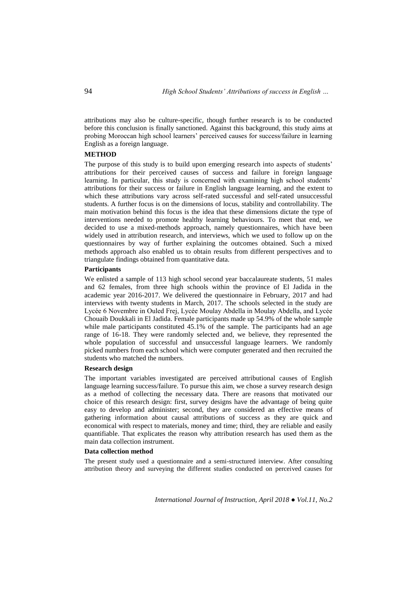attributions may also be culture-specific, though further research is to be conducted before this conclusion is finally sanctioned. Against this background, this study aims at probing Moroccan high school learners' perceived causes for success/failure in learning English as a foreign language.

#### **METHOD**

The purpose of this study is to build upon emerging research into aspects of students' attributions for their perceived causes of success and failure in foreign language learning. In particular, this study is concerned with examining high school students' attributions for their success or failure in English language learning, and the extent to which these attributions vary across self-rated successful and self-rated unsuccessful students. A further focus is on the dimensions of locus, stability and controllability. The main motivation behind this focus is the idea that these dimensions dictate the type of interventions needed to promote healthy learning behaviours. To meet that end, we decided to use a mixed-methods approach, namely questionnaires, which have been widely used in attribution research, and interviews, which we used to follow up on the questionnaires by way of further explaining the outcomes obtained. Such a mixed methods approach also enabled us to obtain results from different perspectives and to triangulate findings obtained from quantitative data.

## **Participants**

We enlisted a sample of 113 high school second year baccalaureate students, 51 males and 62 females, from three high schools within the province of El Jadida in the academic year 2016-2017. We delivered the questionnaire in February, 2017 and had interviews with twenty students in March, 2017. The schools selected in the study are Lycée 6 Novembre in Ouled Frej, Lycée Moulay Abdella in Moulay Abdella, and Lycée Chouaib Doukkali in El Jadida. Female participants made up 54.9% of the whole sample while male participants constituted 45.1% of the sample. The participants had an age range of 16-18. They were randomly selected and, we believe, they represented the whole population of successful and unsuccessful language learners. We randomly picked numbers from each school which were computer generated and then recruited the students who matched the numbers.

## **Research design**

The important variables investigated are perceived attributional causes of English language learning success/failure. To pursue this aim, we chose a survey research design as a method of collecting the necessary data. There are reasons that motivated our choice of this research design: first, survey designs have the advantage of being quite easy to develop and administer; second, they are considered an effective means of gathering information about causal attributions of success as they are quick and economical with respect to materials, money and time; third, they are reliable and easily quantifiable. That explicates the reason why attribution research has used them as the main data collection instrument.

## **Data collection method**

The present study used a questionnaire and a semi-structured interview. After consulting attribution theory and surveying the different studies conducted on perceived causes for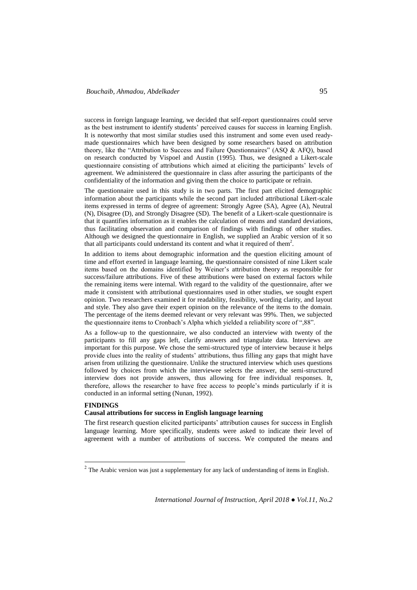success in foreign language learning, we decided that self-report questionnaires could serve as the best instrument to identify students' perceived causes for success in learning English. It is noteworthy that most similar studies used this instrument and some even used readymade questionnaires which have been designed by some researchers based on attribution theory, like the "Attribution to Success and Failure Questionnaires" (ASQ & AFQ), based on research conducted by Vispoel and Austin (1995). Thus, we designed a Likert-scale questionnaire consisting of attributions which aimed at eliciting the participants' levels of agreement. We administered the questionnaire in class after assuring the participants of the confidentiality of the information and giving them the choice to participate or refrain.

The questionnaire used in this study is in two parts. The first part elicited demographic information about the participants while the second part included attributional Likert-scale items expressed in terms of degree of agreement: Strongly Agree (SA), Agree (A), Neutral (N), Disagree (D), and Strongly Disagree (SD). The benefit of a Likert-scale questionnaire is that it quantifies information as it enables the calculation of means and standard deviations, thus facilitating observation and comparison of findings with findings of other studies. Although we designed the questionnaire in English, we supplied an Arabic version of it so that all participants could understand its content and what it required of them<sup>2</sup>.

In addition to items about demographic information and the question eliciting amount of time and effort exerted in language learning, the questionnaire consisted of nine Likert scale items based on the domains identified by Weiner's attribution theory as responsible for success/failure attributions. Five of these attributions were based on external factors while the remaining items were internal. With regard to the validity of the questionnaire, after we made it consistent with attributional questionnaires used in other studies, we sought expert opinion. Two researchers examined it for readability, feasibility, wording clarity, and layout and style. They also gave their expert opinion on the relevance of the items to the domain. The percentage of the items deemed relevant or very relevant was 99%. Then, we subjected the questionnaire items to Cronbach's Alpha which yielded a reliability score of ",88".

As a follow-up to the questionnaire, we also conducted an interview with twenty of the participants to fill any gaps left, clarify answers and triangulate data. Interviews are important for this purpose. We chose the semi-structured type of interview because it helps provide clues into the reality of students' attributions, thus filling any gaps that might have arisen from utilizing the questionnaire. Unlike the structured interview which uses questions followed by choices from which the interviewee selects the answer, the semi-structured interview does not provide answers, thus allowing for free individual responses. It, therefore, allows the researcher to have free access to people's minds particularly if it is conducted in an informal setting (Nunan, 1992).

# **FINDINGS**

 $\overline{a}$ 

## **Causal attributions for success in English language learning**

The first research question elicited participants' attribution causes for success in English language learning. More specifically, students were asked to indicate their level of agreement with a number of attributions of success. We computed the means and

 $2^{2}$  The Arabic version was just a supplementary for any lack of understanding of items in English.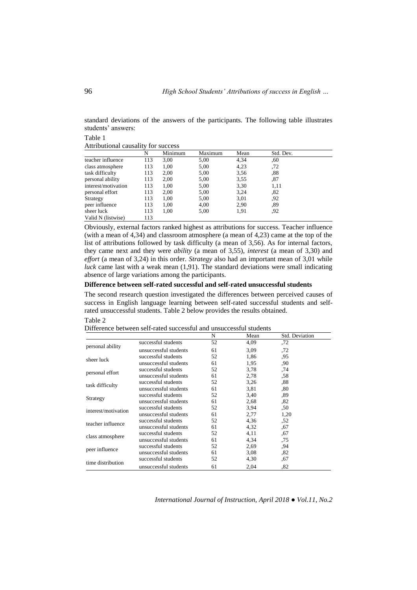standard deviations of the answers of the participants. The following table illustrates students' answers:

| <b>TAULE</b> 1                      |  |  |
|-------------------------------------|--|--|
| Attributional causality for success |  |  |

|                     | N   | <br>Minimum | Maximum | Mean | Std. Dev. |  |
|---------------------|-----|-------------|---------|------|-----------|--|
| teacher influence   | 113 | 3,00        | 5,00    | 4,34 | .60       |  |
| class atmosphere    | 113 | 1,00        | 5,00    | 4,23 | ,72       |  |
| task difficulty     | 113 | 2,00        | 5,00    | 3.56 | .88       |  |
| personal ability    | 113 | 2,00        | 5,00    | 3.55 | .87       |  |
| interest/motivation | 113 | 1,00        | 5,00    | 3,30 | 1,11      |  |
| personal effort     | 113 | 2,00        | 5,00    | 3,24 | .82       |  |
| Strategy            | 113 | 1,00        | 5,00    | 3,01 | .92       |  |
| peer influence      | 113 | 1,00        | 4,00    | 2,90 | .89       |  |
| sheer luck          | 113 | 1.00        | 5,00    | 1,91 | ,92       |  |
| Valid N (listwise)  | 113 |             |         |      |           |  |

Obviously, external factors ranked highest as attributions for success. Teacher influence (with a mean of 4,34) and classroom atmosphere (a mean of 4,23) came at the top of the list of attributions followed by task difficulty (a mean of 3,56). As for internal factors, they came next and they were *ability* (a mean of 3,55), *interest* (a mean of 3,30) and *effort* (a mean of 3,24) in this order. *Strategy* also had an important mean of 3,01 while *luck* came last with a weak mean (1,91). The standard deviations were small indicating absence of large variations among the participants.

#### **Difference between self-rated successful and self-rated unsuccessful students**

The second research question investigated the differences between perceived causes of success in English language learning between self-rated successful students and selfrated unsuccessful students. Table 2 below provides the results obtained.

Table 2

| Difference between self-rated successful and unsuccessful students |
|--------------------------------------------------------------------|
|--------------------------------------------------------------------|

|                     |                       | N  | Mean | Std. Deviation |  |
|---------------------|-----------------------|----|------|----------------|--|
| personal ability    | successful students   | 52 | 4,09 | ,72            |  |
|                     | unsuccessful students | 61 | 3,09 | .72            |  |
| sheer luck          | successful students   | 52 | 1,86 | .95            |  |
|                     | unsuccessful students | 61 | 1,95 | .90            |  |
|                     | successful students   | 52 | 3.78 | .74            |  |
| personal effort     | unsuccessful students | 61 | 2,78 | ,58            |  |
|                     | successful students   | 52 | 3,26 | ,88            |  |
| task difficulty     | unsuccessful students | 61 | 3,81 | ,80            |  |
|                     | successful students   | 52 | 3,40 | .89            |  |
| Strategy            | unsuccessful students | 61 | 2,68 | ,82            |  |
| interest/motivation | successful students   | 52 | 3.94 | ,50            |  |
|                     | unsuccessful students | 61 | 2,77 | 1,20           |  |
|                     | successful students   | 52 | 4,36 | ,52            |  |
| teacher influence   | unsuccessful students | 61 | 4,32 | ,67            |  |
| class atmosphere    | successful students   | 52 | 4,11 | ,67            |  |
|                     | unsuccessful students | 61 | 4.34 | .75            |  |
| peer influence      | successful students   | 52 | 2.69 | ,94            |  |
|                     | unsuccessful students | 61 | 3,08 | ,82            |  |
| time distribution   | successful students   | 52 | 4,30 | ,67            |  |
|                     | unsuccessful students | 61 | 2,04 | ,82            |  |

*International Journal of Instruction, April 2018 ● Vol.11, No.2*

Table 1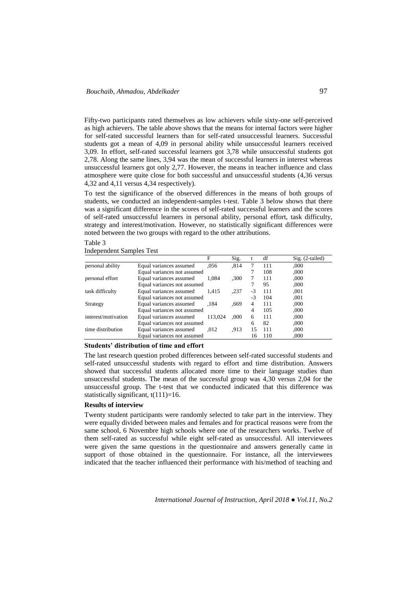Fifty-two participants rated themselves as low achievers while sixty-one self-perceived as high achievers. The table above shows that the means for internal factors were higher for self-rated successful learners than for self-rated unsuccessful learners. Successful students got a mean of 4,09 in personal ability while unsuccessful learners received 3,09. In effort, self-rated successful learners got 3,78 while unsuccessful students got 2,78. Along the same lines, 3,94 was the mean of successful learners in interest whereas unsuccessful learners got only 2,77. However, the means in teacher influence and class atmosphere were quite close for both successful and unsuccessful students (4,36 versus 4,32 and 4,11 versus 4,34 respectively).

To test the significance of the observed differences in the means of both groups of students, we conducted an independent-samples t-test. Table 3 below shows that there was a significant difference in the scores of self-rated successful learners and the scores of self-rated unsuccessful learners in personal ability, personal effort, task difficulty, strategy and interest/motivation. However, no statistically significant differences were noted between the two groups with regard to the other attributions.

Table 3 Independent Samples Test

|                     |                             | F       | Sig. |      | df  | $Sig. (2-tailed)$ |
|---------------------|-----------------------------|---------|------|------|-----|-------------------|
| personal ability    | Equal variances assumed     | .056    | .814 |      | 111 | ,000              |
|                     | Equal variances not assumed |         |      |      | 108 | ,000              |
| personal effort     | Equal variances assumed     | 1.084   | .300 | 7    | 111 | ,000              |
|                     | Equal variances not assumed |         |      |      | 95  | ,000              |
| task difficulty     | Equal variances assumed     | 1.415   | .237 | $-3$ | 111 | .001              |
|                     | Equal variances not assumed |         |      | $-3$ | 104 | ,001              |
| Strategy            | Equal variances assumed     | .184    | .669 | 4    | 111 | ,000              |
|                     | Equal variances not assumed |         |      | 4    | 105 | ,000              |
| interest/motivation | Equal variances assumed     | 113.024 | .000 | 6    | 111 | ,000              |
|                     | Equal variances not assumed |         |      | 6    | 82  | ,000              |
| time distribution   | Equal variances assumed     | .012    | .913 |      | 111 | ,000              |
|                     | Equal variances not assumed |         |      | 16   | 110 | ,000              |

#### **Students' distribution of time and effort**

The last research question probed differences between self-rated successful students and self-rated unsuccessful students with regard to effort and time distribution. Answers showed that successful students allocated more time to their language studies than unsuccessful students. The mean of the successful group was 4,30 versus 2,04 for the unsuccessful group. The t-test that we conducted indicated that this difference was statistically significant,  $t(111)=16$ .

#### **Results of interview**

Twenty student participants were randomly selected to take part in the interview. They were equally divided between males and females and for practical reasons were from the same school, 6 Novembre high schools where one of the researchers works. Twelve of them self-rated as successful while eight self-rated as unsuccessful. All interviewees were given the same questions in the questionnaire and answers generally came in support of those obtained in the questionnaire. For instance, all the interviewees indicated that the teacher influenced their performance with his/method of teaching and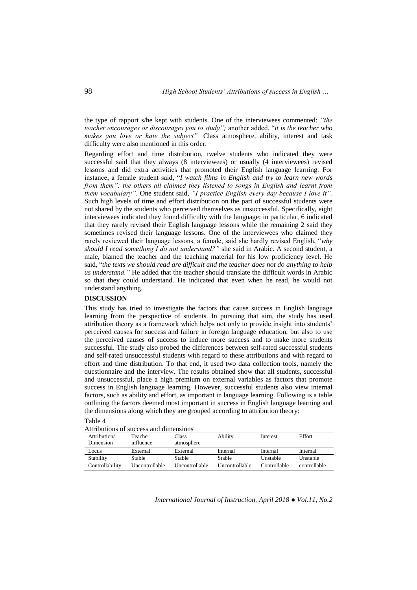the type of rapport s/he kept with students. One of the interviewees commented: *"the teacher encourages or discourages you to study";* another added, "*it is the teacher who makes you love or hate the subject".* Class atmosphere, ability, interest and task difficulty were also mentioned in this order.

Regarding effort and time distribution, twelve students who indicated they were successful said that they always (8 interviewees) or usually (4 interviewees) revised lessons and did extra activities that promoted their English language learning. For instance, a female student said, "*I watch films in English and try to learn new words from them"; the others all claimed they listened to songs in English and learnt from them vocabulary".* One student said, *"I practice English every day because I love it".* Such high levels of time and effort distribution on the part of successful students were not shared by the students who perceived themselves as unsuccessful. Specifically, eight interviewees indicated they found difficulty with the language; in particular, 6 indicated that they rarely revised their English language lessons while the remaining 2 said they sometimes revised their language lessons. One of the interviewees who claimed they rarely reviewed their language lessons, a female, said she hardly revised English, "*why should I read something I do not understand?"* she said in Arabic. A second student, a male, blamed the teacher and the teaching material for his low proficiency level. He said, "*the texts we should read are difficult and the teacher does not do anything to help us understand."* He added that the teacher should translate the difficult words in Arabic so that they could understand. He indicated that even when he read, he would not understand anything.

# **DISCUSSION**

This study has tried to investigate the factors that cause success in English language learning from the perspective of students. In pursuing that aim, the study has used attribution theory as a framework which helps not only to provide insight into students' perceived causes for success and failure in foreign language education, but also to use the perceived causes of success to induce more success and to make more students successful. The study also probed the differences between self-rated successful students and self-rated unsuccessful students with regard to these attributions and with regard to effort and time distribution. To that end, it used two data collection tools, namely the questionnaire and the interview. The results obtained show that all students, successful and unsuccessful, place a high premium on external variables as factors that promote success in English language learning. However, successful students also view internal factors, such as ability and effort, as important in language learning. Following is a table outlining the factors deemed most important in success in English language learning and the dimensions along which they are grouped according to attribution theory:

#### Table 4

| Attributions of success and unnensions |                |                |                |              |              |  |  |  |
|----------------------------------------|----------------|----------------|----------------|--------------|--------------|--|--|--|
| Attribution/                           | Teacher        | Class          | Ability        | Interest     | Effort       |  |  |  |
| Dimension                              | influence      | atmosphere     |                |              |              |  |  |  |
| Locus                                  | External       | External       | Internal       | Internal     | Internal     |  |  |  |
| Stability                              | Stable         | Stable         | <b>Stable</b>  | Unstable     | Unstable     |  |  |  |
| Controllability                        | Uncontrollable | Uncontrollable | Uncontrollable | Controllable | controllable |  |  |  |

Attributions of success and dimensions

*International Journal of Instruction, April 2018 ● Vol.11, No.2*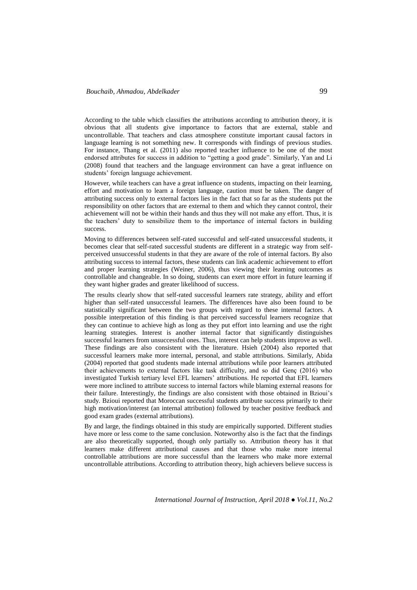According to the table which classifies the attributions according to attribution theory, it is obvious that all students give importance to factors that are external, stable and uncontrollable. That teachers and class atmosphere constitute important causal factors in language learning is not something new. It corresponds with findings of previous studies. For instance, Thang et al. (2011) also reported teacher influence to be one of the most endorsed attributes for success in addition to "getting a good grade". Similarly, Yan and Li (2008) found that teachers and the language environment can have a great influence on students' foreign language achievement.

However, while teachers can have a great influence on students, impacting on their learning, effort and motivation to learn a foreign language, caution must be taken. The danger of attributing success only to external factors lies in the fact that so far as the students put the responsibility on other factors that are external to them and which they cannot control, their achievement will not be within their hands and thus they will not make any effort. Thus, it is the teachers' duty to sensibilize them to the importance of internal factors in building success.

Moving to differences between self-rated successful and self-rated unsuccessful students, it becomes clear that self-rated successful students are different in a strategic way from selfperceived unsuccessful students in that they are aware of the role of internal factors. By also attributing success to internal factors, these students can link academic achievement to effort and proper learning strategies (Weiner, 2006), thus viewing their learning outcomes as controllable and changeable. In so doing, students can exert more effort in future learning if they want higher grades and greater likelihood of success.

The results clearly show that self-rated successful learners rate strategy, ability and effort higher than self-rated unsuccessful learners. The differences have also been found to be statistically significant between the two groups with regard to these internal factors. A possible interpretation of this finding is that perceived successful learners recognize that they can continue to achieve high as long as they put effort into learning and use the right learning strategies. Interest is another internal factor that significantly distinguishes successful learners from unsuccessful ones. Thus, interest can help students improve as well. These findings are also consistent with the literature. Hsieh (2004) also reported that successful learners make more internal, personal, and stable attributions. Similarly, Abida (2004) reported that good students made internal attributions while poor learners attributed their achievements to external factors like task difficulty, and so did Genç (2016) who investigated Turkish tertiary level EFL learners' attributions. He reported that EFL learners were more inclined to attribute success to internal factors while blaming external reasons for their failure. Interestingly, the findings are also consistent with those obtained in Bzioui's study. Bzioui reported that Moroccan successful students attribute success primarily to their high motivation/interest (an internal attribution) followed by teacher positive feedback and good exam grades (external attributions).

By and large, the findings obtained in this study are empirically supported. Different studies have more or less come to the same conclusion. Noteworthy also is the fact that the findings are also theoretically supported, though only partially so. Attribution theory has it that learners make different attributional causes and that those who make more internal controllable attributions are more successful than the learners who make more external uncontrollable attributions. According to attribution theory, high achievers believe success is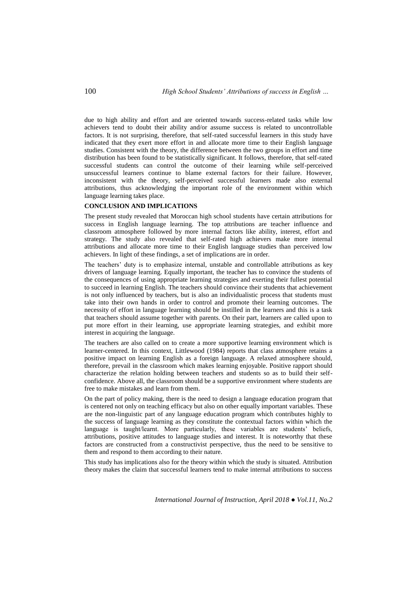due to high ability and effort and are oriented towards success-related tasks while low achievers tend to doubt their ability and/or assume success is related to uncontrollable factors. It is not surprising, therefore, that self-rated successful learners in this study have indicated that they exert more effort in and allocate more time to their English language studies. Consistent with the theory, the difference between the two groups in effort and time distribution has been found to be statistically significant. It follows, therefore, that self-rated successful students can control the outcome of their learning while self-perceived unsuccessful learners continue to blame external factors for their failure. However, inconsistent with the theory, self-perceived successful learners made also external attributions, thus acknowledging the important role of the environment within which language learning takes place.

### **CONCLUSION AND IMPLICATIONS**

The present study revealed that Moroccan high school students have certain attributions for success in English language learning. The top attributions are teacher influence and classroom atmosphere followed by more internal factors like ability, interest, effort and strategy. The study also revealed that self-rated high achievers make more internal attributions and allocate more time to their English language studies than perceived low achievers. In light of these findings, a set of implications are in order.

The teachers' duty is to emphasize internal, unstable and controllable attributions as key drivers of language learning. Equally important, the teacher has to convince the students of the consequences of using appropriate learning strategies and exerting their fullest potential to succeed in learning English. The teachers should convince their students that achievement is not only influenced by teachers, but is also an individualistic process that students must take into their own hands in order to control and promote their learning outcomes. The necessity of effort in language learning should be instilled in the learners and this is a task that teachers should assume together with parents. On their part, learners are called upon to put more effort in their learning, use appropriate learning strategies, and exhibit more interest in acquiring the language.

The teachers are also called on to create a more supportive learning environment which is learner-centered. In this context, Littlewood (1984) reports that class atmosphere retains a positive impact on learning English as a foreign language. A relaxed atmosphere should, therefore, prevail in the classroom which makes learning enjoyable. Positive rapport should characterize the relation holding between teachers and students so as to build their selfconfidence. Above all, the classroom should be a supportive environment where students are free to make mistakes and learn from them.

On the part of policy making, there is the need to design a language education program that is centered not only on teaching efficacy but also on other equally important variables. These are the non-linguistic part of any language education program which contributes highly to the success of language learning as they constitute the contextual factors within which the language is taught/learnt. More particularly, these variables are students' beliefs, attributions, positive attitudes to language studies and interest. It is noteworthy that these factors are constructed from a constructivist perspective, thus the need to be sensitive to them and respond to them according to their nature.

This study has implications also for the theory within which the study is situated. Attribution theory makes the claim that successful learners tend to make internal attributions to success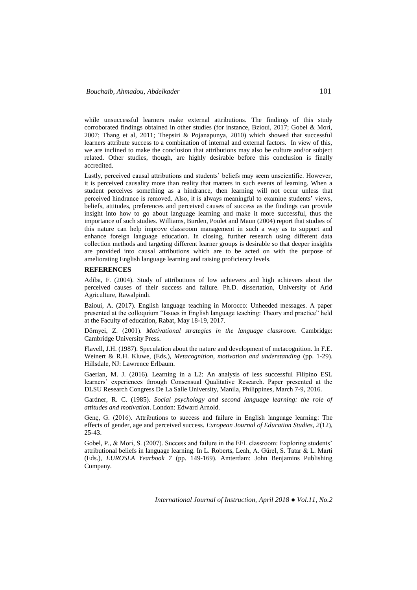while unsuccessful learners make external attributions. The findings of this study corroborated findings obtained in other studies (for instance, Bzioui, 2017; Gobel & Mori, 2007; Thang et al, 2011; Thepsiri & Pojanapunya, 2010) which showed that successful learners attribute success to a combination of internal and external factors. In view of this, we are inclined to make the conclusion that attributions may also be culture and/or subject related. Other studies, though, are highly desirable before this conclusion is finally accredited.

Lastly, perceived causal attributions and students' beliefs may seem unscientific. However, it is perceived causality more than reality that matters in such events of learning. When a student perceives something as a hindrance, then learning will not occur unless that perceived hindrance is removed. Also, it is always meaningful to examine students' views, beliefs, attitudes, preferences and perceived causes of success as the findings can provide insight into how to go about language learning and make it more successful, thus the importance of such studies. Williams, Burden, Poulet and Maun (2004) report that studies of this nature can help improve classroom management in such a way as to support and enhance foreign language education. In closing, further research using different data collection methods and targeting different learner groups is desirable so that deeper insights are provided into causal attributions which are to be acted on with the purpose of ameliorating English language learning and raising proficiency levels.

#### **REFERENCES**

Adiba, F. (2004). Study of attributions of low achievers and high achievers about the perceived causes of their success and failure. Ph.D. dissertation, University of Arid Agriculture, Rawalpindi.

Bzioui, A. (2017). English language teaching in Morocco: Unheeded messages. A paper presented at the colloquium "Issues in English language teaching: Theory and practice" held at the Faculty of education, Rabat, May 18-19, 2017.

Dörnyei, Z. (2001). *Motivational strategies in the language classroom*. Cambridge: Cambridge University Press.

Flavell, J.H. (1987). Speculation about the nature and development of metacognition. In F.E. Weinert & R.H. Kluwe, (Eds.), *Metacognition, motivation and understanding* (pp. 1-29). Hillsdale, NJ: Lawrence Erlbaum.

Gaerlan, M. J. (2016). Learning in a L2: An analysis of less successful Filipino ESL learners' experiences through Consensual Qualitative Research. Paper presented at the DLSU Research Congress De La Salle University, Manila, Philippines, March 7-9, 2016.

Gardner, R. C. (1985). *Social psychology and second language learning: the role of attitudes and motivation*. London: Edward Arnold.

Genç, G. (2016). Attributions to success and failure in English language learning: The effects of gender, age and perceived success. *European Journal of Education Studies, 2*(12), 25-43.

Gobel, P., & Mori, S. (2007). Success and failure in the EFL classroom: Exploring students' attributional beliefs in language learning. In L. Roberts, Leah, A. Gürel, S. Tatar & L. Marti (Eds.), *EUROSLA Yearbook 7* (pp. 149-169). Amterdam: John Benjamins Publishing Company.

*International Journal of Instruction, April 2018 ● Vol.11, No.2*